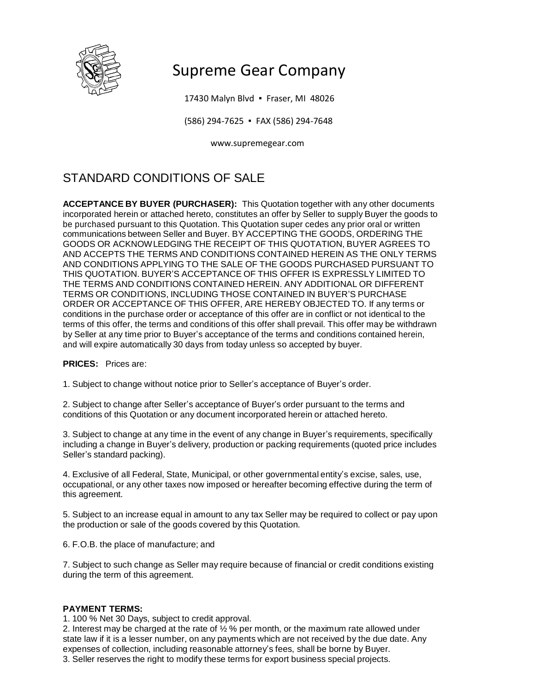

# Supreme Gear Company

17430 Malyn Blvd ▪ Fraser, MI 48026

(586) 294-7625 ▪ FAX (586) 294-7648

www.supremegear.com

# STANDARD CONDITIONS OF SALE

**ACCEPTANCE BY BUYER (PURCHASER):** This Quotation together with any other documents incorporated herein or attached hereto, constitutes an offer by Seller to supply Buyer the goods to be purchased pursuant to this Quotation. This Quotation super cedes any prior oral or written communicationsbetween Seller and Buyer. BY ACCEPTING THE GOODS, ORDERING THE GOODS OR ACKNOWLEDGING THE RECEIPT OF THIS QUOTATION, BUYER AGREES TO AND ACCEPTS THE TERMS AND CONDITIONS CONTAINED HEREIN AS THE ONLY TERMS AND CONDITIONS APPLYING TO THE SALE OF THE GOODS PURCHASED PURSUANT TO THIS QUOTATION. BUYER'S ACCEPTANCE OF THIS OFFER IS EXPRESSLY LIMITED TO THE TERMS AND CONDITIONS CONTAINED HEREIN. ANY ADDITIONAL OR DIFFERENT TERMS OR CONDITIONS, INCLUDING THOSE CONTAINED IN BUYER'S PURCHASE ORDER OR ACCEPTANCE OF THIS OFFER, ARE HEREBY OBJECTED TO. If any terms or conditions in the purchase order or acceptance of this offer are in conflict or not identical to the terms of this offer, the terms and conditions of this offer shall prevail. This offer may be withdrawn by Seller at any time prior to Buyer's acceptance of the terms and conditions contained herein, and will expire automatically30 days from today unless so accepted by buyer.

## **PRICES:** Prices are:

1. Subject to change without notice prior to Seller's acceptance of Buyer's order.

2. Subject to change after Seller's acceptance of Buyer's order pursuant to the terms and conditions of this Quotation or any document incorporated herein or attached hereto.

3. Subject to change at any time in the event of any change in Buyer's requirements, specifically including a change in Buyer's delivery, production or packing requirements (quoted price includes Seller's standard packing).

4. Exclusive of all Federal, State, Municipal, or other governmentalentity's excise, sales, use, occupational, or any other taxes now imposed or hereafter becoming effective during the term of this agreement.

5. Subject to an increase equal in amount to any tax Seller may be required to collect or pay upon the production or sale of the goods covered by this Quotation.

6. F.O.B. the place of manufacture; and

7. Subject to such change as Seller may require because of financial or credit conditions existing during the term of this agreement.

#### **PAYMENT TERMS:**

1. 100 % Net 30 Days, subject to credit approval.

2. Interest may be charged at the rate of  $\frac{1}{2}$  % per month, or the maximum rate allowed under state law if it is a lesser number, on any payments which are not received by the due date. Any expenses of collection, including reasonable attorney's fees, shall be borne by Buyer. 3. Seller reserves the right to modify these terms for export business special projects.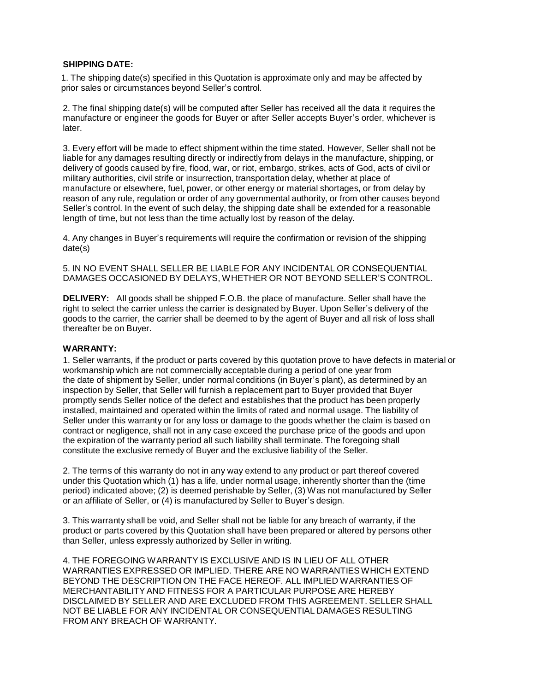#### **SHIPPING DATE:**

1. The shipping date(s) specified in this Quotation is approximate only and may be affected by prior sales or circumstances beyond Seller's control.

2. The final shipping date(s) will be computed after Seller has received all the data it requires the manufacture or engineer the goods for Buyer or after Seller accepts Buyer's order, whichever is later.

3. Every effort will be made to effect shipment within the time stated. However, Seller shall not be liable for any damages resulting directly or indirectly from delays in the manufacture, shipping, or delivery of goods caused by fire, flood, war, or riot, embargo, strikes, acts of God, acts of civil or military authorities, civil strife or insurrection, transportationdelay, whether at place of manufacture or elsewhere, fuel, power, or other energy or material shortages, or from delay by reason of any rule, regulation or order of any governmentalauthority, or from other causes beyond Seller's control. In the event of such delay, the shipping date shall be extended for a reasonable length of time, but not less than the time actually lost by reason of the delay.

4. Any changes in Buyer's requirements will require the confirmation or revision of the shipping date(s)

5. IN NO EVENT SHALL SELLER BE LIABLE FOR ANY INCIDENTAL OR CONSEQUENTIAL DAMAGES OCCASIONED BY DELAYS, WHETHER OR NOT BEYOND SELLER'S CONTROL.

**DELIVERY:** All goods shall be shipped F.O.B. the place of manufacture. Seller shall have the right to select the carrier unless the carrier is designated by Buyer. Upon Seller's deliveryof the goods to the carrier, the carrier shall be deemed to by the agent of Buyer and all risk of loss shall thereafter be on Buyer.

#### **WARRANTY:**

1. Seller warrants, if the product or parts covered by this quotation prove to have defects in material or workmanship which are not commerciallyacceptable during a period of one year from the date of shipment by Seller, under normal conditions (in Buyer's plant), as determined by an inspection by Seller, that Seller will furnish a replacement part to Buyer provided that Buyer promptly sends Seller notice of the defect and establishes that the product has been properly installed, maintained and operated within the limits of rated and normal usage. The liability of Seller under this warranty or for any loss or damage to the goods whether the claim is based on contract or negligence, shall not in any case exceed the purchase price of the goods and upon the expiration of the warranty period all such liability shall terminate. The foregoing shall constitute the exclusive remedy of Buyer and the exclusive liability of the Seller.

2. The terms of this warranty do not in any way extend to any product or part thereof covered under this Quotation which (1) has a life, under normal usage, inherently shorter than the (time period) indicated above; (2) is deemed perishable by Seller, (3) Was not manufactured by Seller or an affiliate of Seller, or (4) is manufactured by Seller to Buyer's design.

3. This warranty shall be void, and Seller shall not be liable for any breach of warranty, if the product or parts covered by this Quotation shall have been prepared or altered by persons other than Seller, unless expressly authorized by Seller in writing.

4. THE FOREGOING WARRANTY IS EXCLUSIVE AND IS IN LIEU OF ALL OTHER WARRANTIES EXPRESSED OR IMPLIED. THERE ARE NO WARRANTIES WHICH EXTEND BEYOND THE DESCRIPTION ON THE FACE HEREOF. ALL IMPLIED WARRANTIES OF MERCHANTABILITYAND FITNESS FOR A PARTICULAR PURPOSE ARE HEREBY DISCLAIMED BY SELLER AND ARE EXCLUDED FROM THIS AGREEMENT. SELLER SHALL NOT BE LIABLE FOR ANY INCIDENTAL OR CONSEQUENTIAL DAMAGES RESULTING FROM ANY BREACH OF WARRANTY.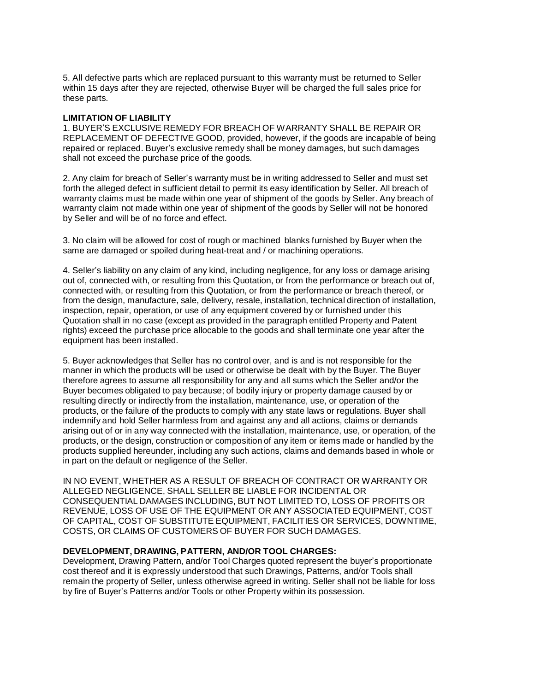5. All defective parts which are replaced pursuant to this warranty must be returned to Seller within 15 days after they are rejected, otherwise Buyer will be charged the full sales price for these parts.

#### **LIMITATION OF LIABILITY**

1. BUYER'S EXCLUSIVE REMEDY FOR BREACH OF WARRANTY SHALL BE REPAIR OR REPLACEMENT OF DEFECTIVE GOOD, provided, however, if the goods are incapable of being repaired or replaced. Buyer's exclusive remedy shall be moneydamages, but such damages shall not exceed the purchase price of the goods.

2. Any claim for breach of Seller's warranty must be in writing addressed to Seller and must set forth the alleged defect in sufficient detail to permit its easy identification by Seller. All breach of warranty claims must be made within one year of shipment of the goods by Seller. Any breach of warranty claim not made within one year of shipment of the goods by Seller will not be honored by Seller and will be of no force and effect.

3. No claim will be allowed for cost of rough or machined blanks furnished by Buyer when the same are damaged or spoiled during heat-treat and / or machining operations.

4. Seller's liability on any claim of any kind, including negligence, for any loss or damage arising out of, connected with, or resulting from this Quotation, or from the performance or breach out of, connected with, or resulting from this Quotation, or from the performance or breach thereof, or from the design, manufacture, sale, delivery, resale, installation, technical direction of installation, inspection, repair, operation, or use of any equipment covered by or furnished under this Quotation shall in no case (except as provided in the paragraph entitled Property and Patent rights) exceed the purchase price allocable to the goods and shall terminate one year after the equipment has been installed.

5. Buyer acknowledges that Seller has no control over, and is and is not responsible for the manner in which the products will be used or otherwise be dealt with by the Buyer. The Buyer therefore agrees to assume all responsibility for any and all sums which the Seller and/or the Buyer becomes obligated to pay because; of bodily injury or property damage caused by or resulting directly or indirectly from the installation, maintenance, use, or operation of the products, or the failure of the products to comply with any state laws or regulations. Buyer shall indemnifyand hold Seller harmless from and against any and all actions, claims or demands arising out of or in any way connected with the installation, maintenance, use, or operation, of the products, or the design, construction or composition of any item or items made or handled by the products supplied hereunder, including any such actions, claims and demands based in whole or in part on the default or negligence of the Seller.

IN NO EVENT, WHETHER AS A RESULT OF BREACH OF CONTRACT OR WARRANTY OR ALLEGED NEGLIGENCE, SHALL SELLER BE LIABLE FOR INCIDENTAL OR CONSEQUENTIAL DAMAGES INCLUDING, BUT NOT LIMITED TO, LOSS OF PROFITS OR REVENUE, LOSS OF USE OF THE EQUIPMENT OR ANY ASSOCIATED EQUIPMENT, COST OF CAPITAL, COST OF SUBSTITUTE EQUIPMENT, FACILITIES OR SERVICES, DOWNTIME, COSTS, OR CLAIMS OF CUSTOMERS OF BUYER FOR SUCH DAMAGES.

#### **DEVELOPMENT, DRAWING, PATTERN, AND/OR TOOL CHARGES:**

Development, Drawing Pattern, and/or Tool Charges quoted represent the buyer's proportionate cost thereof and it is expressly understood that such Drawings, Patterns, and/or Tools shall remain the propertyof Seller, unless otherwise agreed in writing. Seller shall not be liable for loss by fire of Buyer's Patterns and/or Tools or other Property within its possession.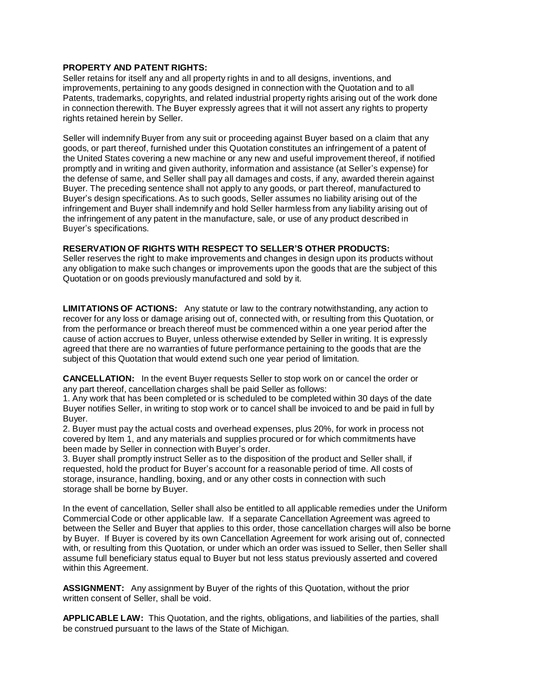#### **PROPERTY AND PATENT RIGHTS:**

Seller retains for itself any and all property rights in and to all designs, inventions, and improvements, pertaining to any goods designed in connection with the Quotation and to all Patents, trademarks, copyrights, and related industrial property rights arising out of the work done in connection therewith. The Buyer expressly agrees that it will not assert any rights to property rights retained herein by Seller.

Seller will indemnify Buyer from any suit or proceeding against Buyer based on a claim that any goods, or part thereof, furnished under this Quotation constitutes an infringement of a patent of the United States covering a new machine or any new and useful improvement thereof, if notified promptlyand in writing and given authority, information and assistance (at Seller's expense) for the defense of same, and Seller shall pay all damagesand costs, if any, awarded therein against Buyer. The preceding sentence shall not apply to any goods, or part thereof, manufactured to Buyer's design specifications. As to such goods, Seller assumes no liability arising out of the infringement and Buyer shall indemnifyand hold Seller harmless from any liability arising out of the infringement of any patent in the manufacture, sale, or use of any product described in Buyer's specifications.

### **RESERVATION OF RIGHTS WITH RESPECT TO SELLER'S OTHER PRODUCTS:**

Seller reserves the right to make improvementsand changes in design upon its products without any obligation to make such changes or improvements upon the goods that are the subject of this Quotation or on goods previously manufactured and sold by it.

**LIMITATIONS OF ACTIONS:** Any statute or law to the contrary notwithstanding, any action to recover for any loss or damage arising out of, connected with, or resulting from this Quotation, or from the performance or breach thereof must be commenced within a one year period after the cause of action accrues to Buyer, unless otherwise extended by Seller in writing. It is expressly agreed that there are no warrantiesof future performance pertaining to the goods that are the subject of this Quotation that would extend such one year period of limitation.

**CANCELLATION:** In the event Buyer requests Seller to stop work on or cancel the order or any part thereof, cancellation charges shall be paid Seller as follows:

1. Any work that has been completed or is scheduled to be completed within 30 days of the date Buyer notifies Seller, in writing to stop work or to cancel shall be invoiced to and be paid in full by Buyer.

2. Buyer must pay the actual costs and overhead expenses, plus 20%, for work in process not covered by Item 1, and any materials and supplies procured or for which commitments have been made by Seller in connection with Buyer's order.

3. Buyer shall promptly instruct Seller as to the disposition of the product and Seller shall, if requested, hold the product for Buyer's account for a reasonable period of time. All costs of storage, insurance, handling, boxing, and or any other costs in connection with such storage shall be borne by Buyer.

In the event of cancellation, Seller shall also be entitled to all applicable remedies under the Uniform Commercial Code or other applicable law. If a separate Cancellation Agreement was agreed to between the Seller and Buyer that applies to this order, those cancellation charges will also be borne by Buyer. If Buyer is covered by its own Cancellation Agreement for work arising out of, connected with, or resulting from this Quotation, or under which an order was issued to Seller, then Seller shall assume full beneficiary status equal to Buyer but not less status previously asserted and covered within this Agreement.

**ASSIGNMENT:** Any assignment by Buyer of the rights of this Quotation, without the prior written consent of Seller, shall be void.

**APPLICABLE LAW:** This Quotation, and the rights, obligations, and liabilities of the parties, shall be construed pursuant to the laws of the State of Michigan.